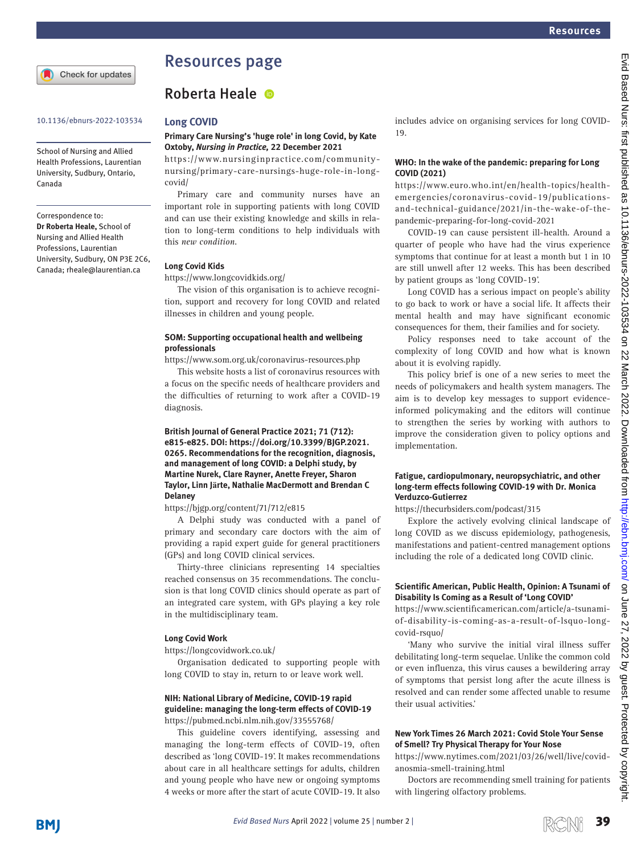

# Resources page

### 10.1136/ebnurs-2022-103534 **Long COVID**

School of Nursing and Allied Health Professions, Laurentian University, Sudbury, Ontario, Canada

Correspondence to: *Dr Roberta Heale,* School of Nursing and Allied Health Professions, Laurentian University, Sudbury, ON P3E 2C6, Canada; rheale@laurentian.ca

# Roberta Heale ®

### **Primary Care Nursing's 'huge role' in long Covid, by Kate Oxtoby,** *Nursing in Practice,* **22 December 2021**

[https://www.nursinginpractice.com/community](https://www.nursinginpractice.com/community-nursing/primary-care-nursings-huge-role-in-long-covid/)[nursing/primary-care-nursings-huge-role-in-long](https://www.nursinginpractice.com/community-nursing/primary-care-nursings-huge-role-in-long-covid/)[covid/](https://www.nursinginpractice.com/community-nursing/primary-care-nursings-huge-role-in-long-covid/)

Primary care and community nurses have an important role in supporting patients with long COVID and can use their existing knowledge and skills in relation to long-term conditions to help individuals with this *new condition*.

### **Long Covid Kids**

### <https://www.longcovidkids.org/>

The vision of this organisation is to achieve recognition, support and recovery for long COVID and related illnesses in children and young people.

### **SOM: Supporting occupational health and wellbeing professionals**

<https://www.som.org.uk/coronavirus-resources.php>

This website hosts a list of coronavirus resources with a focus on the specific needs of healthcare providers and the difficulties of returning to work after a COVID-19 diagnosis.

### **British Journal of General Practice 2021; 71 (712): e815-e825. DOI: [https://doi.org/10.3399/BJGP.2021.](https://doi.org/10.3399/BJGP.2021.0265) [0265](https://doi.org/10.3399/BJGP.2021.0265). Recommendations for the recognition, diagnosis, and management of long COVID: a Delphi study, by Martine Nurek, Clare Rayner, Anette Freyer, Sharon Taylor, Linn Järte, Nathalie MacDermott and Brendan C Delaney**

<https://bjgp.org/content/71/712/e815>

A Delphi study was conducted with a panel of primary and secondary care doctors with the aim of providing a rapid expert guide for general practitioners (GPs) and long COVID clinical services.

Thirty-three clinicians representing 14 specialties reached consensus on 35 recommendations. The conclusion is that long COVID clinics should operate as part of an integrated care system, with GPs playing a key role in the multidisciplinary team.

### **Long Covid Work**

<https://longcovidwork.co.uk/>

Organisation dedicated to supporting people with long COVID to stay in, return to or leave work well.

## **NIH: National Library of Medicine, COVID-19 rapid guideline: managing the long-term effects of COVID-19**

<https://pubmed.ncbi.nlm.nih.gov/33555768/>

This guideline covers identifying, assessing and managing the long-term effects of COVID-19, often described as 'long COVID-19'. It makes recommendations about care in all healthcare settings for adults, children and young people who have new or ongoing symptoms 4 weeks or more after the start of acute COVID-19. It also

includes advice on organising services for long COVID-19.

### **WHO: In the wake of the pandemic: preparing for Long COVID (2021)**

[https://www.euro.who.int/en/health-topics/health](https://www.euro.who.int/en/health-topics/health-emergencies/coronavirus-covid-19/publications-and-technical-guidance/2021/in-the-wake-of-the-pandemic-preparing-for-long-covid-2021)[emergencies/coronavirus-covid-19/publications](https://www.euro.who.int/en/health-topics/health-emergencies/coronavirus-covid-19/publications-and-technical-guidance/2021/in-the-wake-of-the-pandemic-preparing-for-long-covid-2021)[and-technical-guidance/2021/in-the-wake-of-the](https://www.euro.who.int/en/health-topics/health-emergencies/coronavirus-covid-19/publications-and-technical-guidance/2021/in-the-wake-of-the-pandemic-preparing-for-long-covid-2021)[pandemic-preparing-for-long-covid-2021](https://www.euro.who.int/en/health-topics/health-emergencies/coronavirus-covid-19/publications-and-technical-guidance/2021/in-the-wake-of-the-pandemic-preparing-for-long-covid-2021)

COVID-19 can cause persistent ill-health. Around a quarter of people who have had the virus experience symptoms that continue for at least a month but 1 in 10 are still unwell after 12 weeks. This has been described by patient groups as 'long COVID-19'.

Long COVID has a serious impact on people's ability to go back to work or have a social life. It affects their mental health and may have significant economic consequences for them, their families and for society.

Policy responses need to take account of the complexity of long COVID and how what is known about it is evolving rapidly.

This policy brief is one of a new series to meet the needs of policymakers and health system managers. The aim is to develop key messages to support evidenceinformed policymaking and the editors will continue to strengthen the series by working with authors to improve the consideration given to policy options and implementation.

### **Fatigue, cardiopulmonary, neuropsychiatric, and other long-term effects following COVID-19 with Dr. Monica Verduzco-Gutierrez**

<https://thecurbsiders.com/podcast/315>

Explore the actively evolving clinical landscape of long COVID as we discuss epidemiology, pathogenesis, manifestations and patient-centred management options including the role of a dedicated long COVID clinic.

### **Scientific American, Public Health, Opinion: A Tsunami of Disability Is Coming as a Result of 'Long COVID'**

[https://www.scientificamerican.com/article/a-tsunami](https://www.scientificamerican.com/article/a-tsunami-of-disability-is-coming-as-a-result-of-lsquo-long-covid-rsquo/)[of-disability-is-coming-as-a-result-of-lsquo-long](https://www.scientificamerican.com/article/a-tsunami-of-disability-is-coming-as-a-result-of-lsquo-long-covid-rsquo/)[covid-rsquo/](https://www.scientificamerican.com/article/a-tsunami-of-disability-is-coming-as-a-result-of-lsquo-long-covid-rsquo/)

'Many who survive the initial viral illness suffer debilitating long-term sequelae. Unlike the common cold or even influenza, this virus causes a bewildering array of symptoms that persist long after the acute illness is resolved and can render some affected unable to resume their usual activities.'

### **New York Times 26 March 2021: Covid Stole Your Sense of Smell? Try Physical Therapy for Your Nose**

[https://www.nytimes.com/2021/03/26/well/live/covid](https://www.nytimes.com/2021/03/26/well/live/covid-anosmia-smell-training.html)[anosmia-smell-training.html](https://www.nytimes.com/2021/03/26/well/live/covid-anosmia-smell-training.html)

Doctors are recommending smell training for patients with lingering olfactory problems.